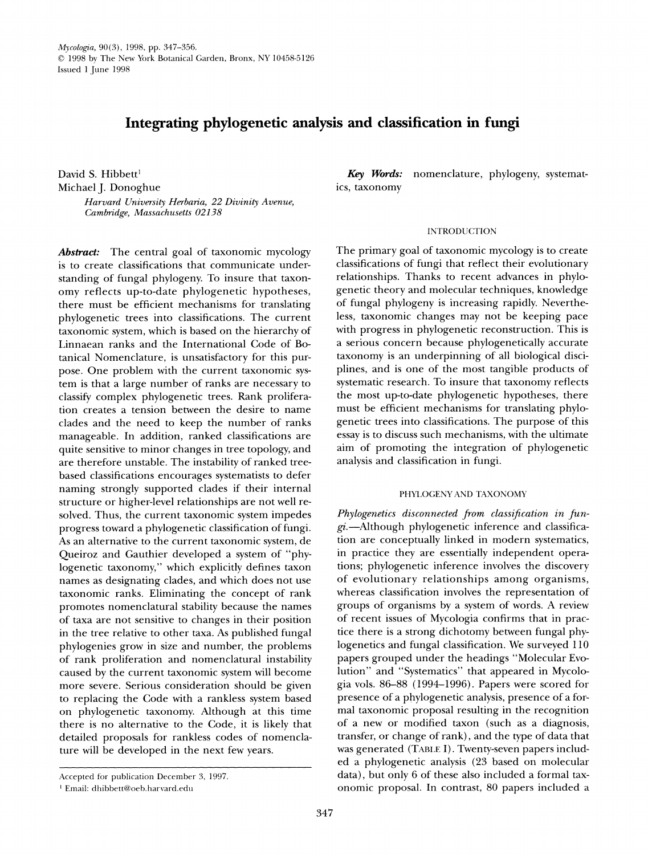# **Integrating phylogenetic analysis and classification in fungi**

David S. Hibbett<sup>1</sup> **Michael J. Donoghue** 

> **Harvard University Herbaria, 22 Divinity Avenue, Cambridge, Massachusetts 02138**

**Abstract: The central goal of taxonomic mycology is to create classifications that communicate understanding of fungal phylogeny. To insure that taxonomy reflects up-to-date phylogenetic hypotheses, there must be efficient mechanisms for translating phylogenetic trees into classifications. The current taxonomic system, which is based on the hierarchy of Linnaean ranks and the International Code of Botanical Nomenclature, is unsatisfactory for this purpose. One problem with the current taxonomic system is that a large number of ranks are necessary to classify complex phylogenetic trees. Rank proliferation creates a tension between the desire to name clades and the need to keep the number of ranks manageable. In addition, ranked classifications are quite sensitive to minor changes in tree topology, and are therefore unstable. The instability of ranked treebased classifications encourages systematists to defer naming strongly supported clades if their internal structure or higher-level relationships are not well resolved. Thus, the current taxonomic system impedes progress toward a phylogenetic classification of fungi. As an alternative to the current taxonomic system, de Queiroz and Gauthier developed a system of "phylogenetic taxonomy," which explicitly defines taxon names as designating clades, and which does not use taxonomic ranks. Eliminating the concept of rank promotes nomenclatural stability because the names of taxa are not sensitive to changes in their position in the tree relative to other taxa. As published fungal phylogenies grow in size and number, the problems of rank proliferation and nomenclatural instability caused by the current taxonomic system will become more severe. Serious consideration should be given to replacing the Code with a rankless system based on phylogenetic taxonomy. Although at this time there is no alternative to the Code, it is likely that detailed proposals for rankless codes of nomenclature will be developed in the next few years.** 

**Key Words: nomenclature, phylogeny, systematics, taxonomy** 

# **INTRODUCTION**

**The primary goal of taxonomic mycology is to create classifications of fungi that reflect their evolutionary relationships. Thanks to recent advances in phylogenetic theory and molecular techniques, knowledge of fungal phylogeny is increasing rapidly. Nevertheless, taxonomic changes may not be keeping pace with progress in phylogenetic reconstruction. This is a serious concern because phylogenetically accurate taxonomy is an underpinning of all biological disciplines, and is one of the most tangible products of systematic research. To insure that taxonomy reflects the most up-to-date phylogenetic hypotheses, there must be efficient mechanisms for translating phylogenetic trees into classifications. The purpose of this essay is to discuss such mechanisms, with the ultimate aim of promoting the integration of phylogenetic analysis and classification in fungi.** 

## **PHYLOGENY AND TAXONOMY**

**Phylogenetics disconnected from classification in fungz.-Although phylogenetic inference and classification are conceptually linked in modern systematics, in practice they are essentially independent operations; phylogenetic inference involves the discovery of evolutionary relationships among organisms, whereas classification involves the representation of groups of organisms by a system of words. A review of recent issues of Mycologia confirms that in practice there is a strong dichotomy between fungal phylogenetics and fungal classification. We surveyed 110 papers grouped under the headings "Molecular Evolution" and "Systematics" that appeared in Mycologia vols. 86-88 (1994-1996). Papers were scored for presence of a phylogenetic analysis, presence of a formal taxonomic proposal resulting in the recognition of a new or modified taxon (such as a diagnosis, transfer, or change of rank), and the type of data that was generated (TABLE I). Twenty-seven papers included a phylogenetic analysis (23 based on molecular data), but only 6 of these also included a formal taxonomic proposal. In contrast, 80 papers included a** 

**Accepted for publication December 3, 1997.** 

**<sup>1</sup> Email: dhibbett@oeb.harvard.edu**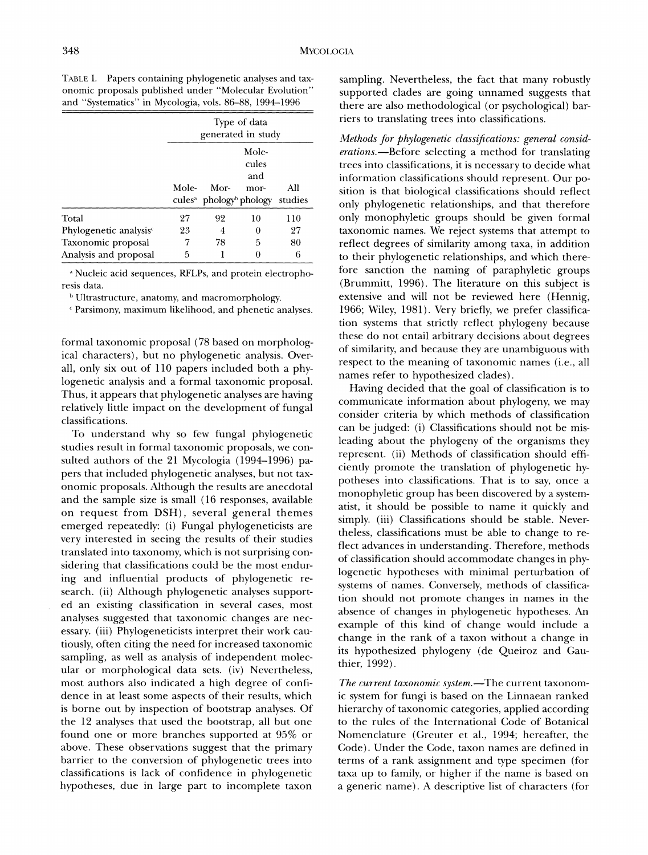**TABLE I. Papers containing phylogenetic analyses and taxonomic proposals published under "Molecular Evolution" and "Systematics" in Mycologia, vols. 86-88, 1994-1996** 

|                                    | Type of data<br>generated in study |      |                                                                                          |     |
|------------------------------------|------------------------------------|------|------------------------------------------------------------------------------------------|-----|
|                                    | Mole-                              | Mor- | Mole-<br>cules<br>and<br>mor-<br>cules <sup>a</sup> phology <sup>b</sup> phology studies | All |
| Total                              | 27                                 | 92   | 10                                                                                       | 110 |
| Phylogenetic analysis <sup>c</sup> | 23                                 | 4    | 0                                                                                        | 27  |
| Taxonomic proposal                 | 7                                  | 78   | 5                                                                                        | 80  |
| Analysis and proposal              | 5                                  |      | 0                                                                                        | 6   |

**<sup>a</sup>Nucleic acid sequences, RFLPs, and protein electrophoresis data.** 

**b) Ultrastructure, anatomy, and macromorphology.** 

**c Parsimony, maximum likelihood, and phenetic analyses.** 

**formal taxonomic proposal (78 based on morphological characters), but no phylogenetic analysis. Overall, only six out of 110 papers included both a phylogenetic analysis and a formal taxonomic proposal. Thus, it appears that phylogenetic analyses are having relatively little impact on the development of fungal classifications.** 

**To understand why so few fungal phylogenetic studies result in formal taxonomic proposals, we consulted authors of the 21 Mycologia (1994-1996) papers that included phylogenetic analyses, but not taxonomic proposals. Although the results are anecdotal and the sample size is small (16 responses, available on request from DSH), several general themes emerged repeatedly: (i) Fungal phylogeneticists are very interested in seeing the results of their studies translated into taxonomy, which is not surprising considering that classifications could be the most enduring and influential products of phylogenetic research. (ii) Although phylogenetic analyses supported an existing classification in several cases, most analyses suggested that taxonomic changes are necessary. (iii) Phylogeneticists interpret their work cautiously, often citing the need for increased taxonomic sampling, as well as analysis of independent molecular or morphological data sets. (iv) Nevertheless, most authors also indicated a high degree of confidence in at least some aspects of their results, which is borne out by inspection of bootstrap analyses. Of the 12 analyses that used the bootstrap, all but one found one or more branches supported at 95% or above. These observations suggest that the primary barrier to the conversion of phylogenetic trees into classifications is lack of confidence in phylogenetic hypotheses, due in large part to incomplete taxon** 

**sampling. Nevertheless, the fact that many robustly supported clades are going unnamed suggests that there are also methodological (or psychological) barriers to translating trees into classifications.** 

**Methods for phylogenetic classifications: general considerations.-Before selecting a method for translating trees into classifications, it is necessary to decide what information classifications should represent. Our position is that biological classifications should reflect only phylogenetic relationships, and that therefore only monophyletic groups should be given formal taxonomic names. We reject systems that attempt to reflect degrees of similarity among taxa, in addition to their phylogenetic relationships, and which therefore sanction the naming of paraphyletic groups (Brummitt, 1996). The literature on this subject is extensive and will not be reviewed here (Hennig, 1966; Wiley, 1981). Very briefly, we prefer classification systems that strictly reflect phylogeny because these do not entail arbitrary decisions about degrees of similarity, and because they are unambiguous with respect to the meaning of taxonomic names (i.e., all names refer to hypothesized clades).** 

**Having decided that the goal of classification is to communicate information about phylogeny, we may consider criteria by which methods of classification can be judged: (i) Classifications should not be misleading about the phylogeny of the organisms they represent. (ii) Methods of classification should efficiently promote the translation of phylogenetic hypotheses into classifications. That is to say, once a monophyletic group has been discovered by a systematist, it should be possible to name it quickly and simply. (iii) Classifications should be stable. Nevertheless, classifications must be able to change to reflect advances in understanding. Therefore, methods of classification should accommodate changes in phylogenetic hypotheses with minimal perturbation of systems of names. Conversely, methods of classification should not promote changes in names in the absence of changes in phylogenetic hypotheses. An example of this kind of change would include a change in the rank of a taxon without a change in its hypothesized phylogeny (de Queiroz and Gauthier, 1992).** 

The current taxonomic system.—The current taxonom**ic system for fungi is based on the Linnaean ranked hierarchy of taxonomic categories, applied according to the rules of the International Code of Botanical Nomenclature (Greuter et al., 1994; hereafter, the Code). Under the Code, taxon names are defined in terms of a rank assignment and type specimen (for taxa up to family, or higher if the name is based on a generic name). A descriptive list of characters (for**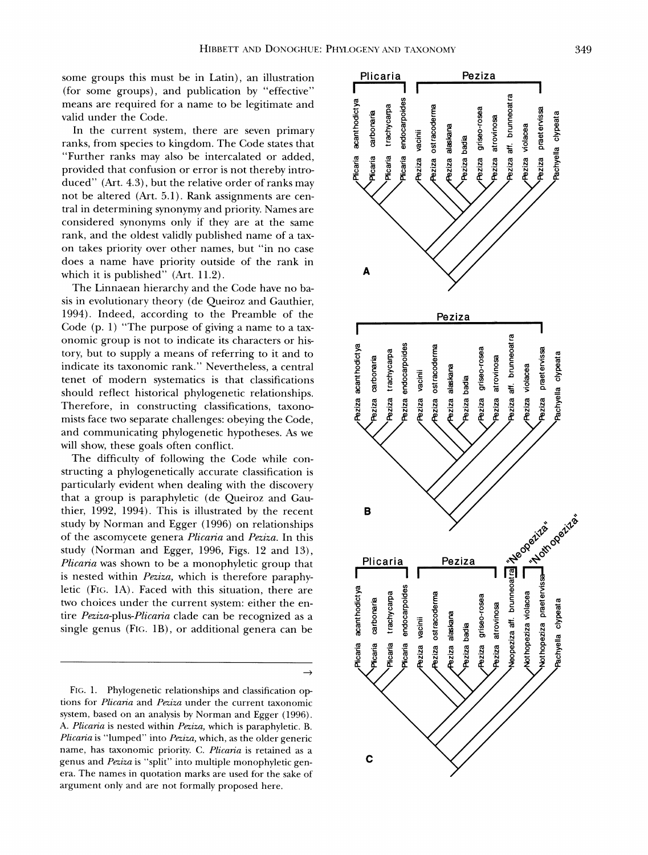**some groups this must be in Latin), an illustration (for some groups), and publication by "effective" means are required for a name to be legitimate and valid under the Code.** 

**In the current system, there are seven primary ranks, from species to kingdom. The Code states that "Further ranks may also be intercalated or added, provided that confusion or error is not thereby introduced" (Art. 4.3), but the relative order of ranks may not be altered (Art. 5.1). Rank assignments are central in determining synonymy and priority. Names are considered synonyms only if they are at the same rank, and the oldest validly published name of a taxon takes priority over other names, but "in no case does a name have priority outside of the rank in which it is published" (Art. 11.2).** 

**The Linnaean hierarchy and the Code have no basis in evolutionary theory (de Queiroz and Gauthier, 1994). Indeed, according to the Preamble of the Code (p. 1) "The purpose of giving a name to a taxonomic group is not to indicate its characters or history, but to supply a means of referring to it and to indicate its taxonomic rank." Nevertheless, a central tenet of modern systematics is that classifications should reflect historical phylogenetic relationships. Therefore, in constructing classifications, taxonomists face two separate challenges: obeying the Code, and communicating phylogenetic hypotheses. As we will show, these goals often conflict.** 

**The difficulty of following the Code while constructing a phylogenetically accurate classification is particularly evident when dealing with the discovery that a group is paraphyletic (de Queiroz and Gauthier, 1992, 1994). This is illustrated by the recent study by Norman and Egger (1996) on relationships of the ascomycete genera Plicaria and Peziza. In this study (Norman and Egger, 1996, Figs. 12 and 13), Plicaria was shown to be a monophyletic group that is nested within Peziza, which is therefore paraphyletic (FIG. 1A). Faced with this situation, there are two choices under the current system: either the entire Peziza-plus-Plicaria clade can be recognized as a single genus (FIG. iB), or additional genera can be** 

**FIG. 1. Phylogenetic relationships and classification options for Plicaria and Peziza under the current taxonomic system, based on an analysis by Norman and Egger (1996). A. Plicaria is nested within Peziza, which is paraphyletic. B. Plicaria is "lumped" into Peziza, which, as the older generic name, has taxonomic priority. C. Plicaria is retained as a genus and Peziza is "split" into multiple monophyletic genera. The names in quotation marks are used for the sake of argument only and are not formally proposed here.** 

 $\rightarrow$ 

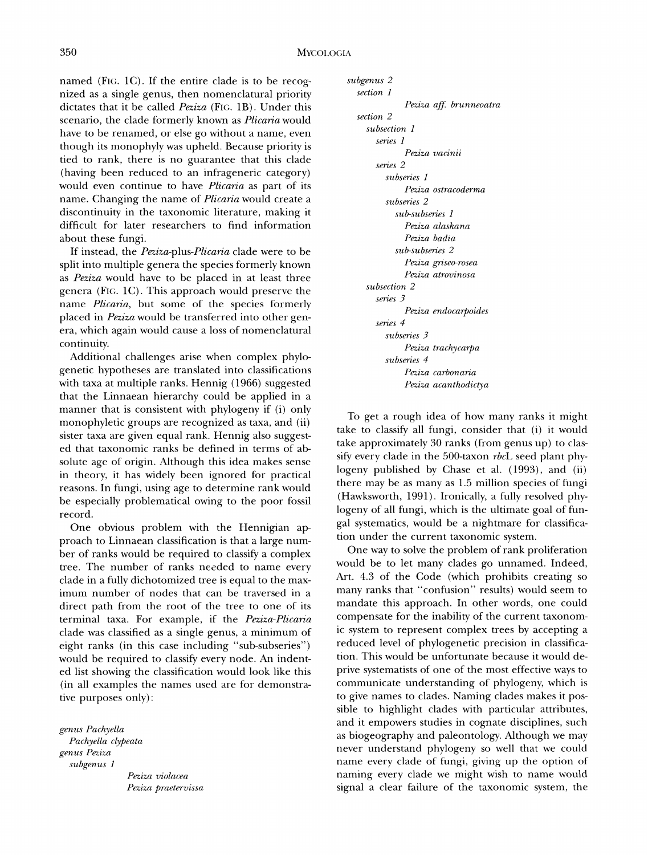**MYCOLOGIA** 

**named (FIG. 1C). If the entire clade is to be recognized as a single genus, then nomenclatural priority dictates that it be called Peziza (FIG. IB). Under this scenario, the clade formerly known as Plicaria would have to be renamed, or else go without a name, even though its monophyly was upheld. Because priority is tied to rank, there is no guarantee that this clade (having been reduced to an infrageneric category) would even continue to have Plicaria as part of its name. Changing the name of Plicaria would create a discontinuity in the taxonomic literature, making it difficult for later researchers to find information about these fungi.** 

**If instead, the Peziza-plus-Plicaria clade were to be split into multiple genera the species formerly known as Peziza would have to be placed in at least three genera (FIG. 1C). This approach would preserve the name Plicaria, but some of the species formerly placed in Peziza would be transferred into other genera, which again would cause a loss of nomenclatural continuity.** 

**Additional challenges arise when complex phylogenetic hypotheses are translated into classifications with taxa at multiple ranks. Hennig (1966) suggested that the Linnaean hierarchy could be applied in a manner that is consistent with phylogeny if (i) only monophyletic groups are recognized as taxa, and (ii) sister taxa are given equal rank. Hennig also suggested that taxonomic ranks be defined in terms of absolute age of origin. Although this idea makes sense in theory, it has widely been ignored for practical reasons. In fungi, using age to determine rank would be especially problematical owing to the poor fossil record.** 

**One obvious problem with the Hennigian approach to Linnaean classification is that a large number of ranks would be required to classify a complex tree. The number of ranks needed to name every clade in a fully dichotomized tree is equal to the maximum number of nodes that can be traversed in a direct path from the root of the tree to one of its terminal taxa. For example, if the Peziza-Plicaria clade was classified as a single genus, a minimum of eight ranks (in this case including "sub-subseries") would be required to classify every node. An indented list showing the classification would look like this (in all examples the names used are for demonstrative purposes only):** 

**genus Pachyella Pachyella clypeata genus Peziza subgenus 1 Peziza violacea Peziza praetervissa**  **subgenus 2 section 1 Peziza aff. brunneoatra section 2 subsection 1 series 1 Peziza vacinii series 2 subseries 1 Peziza ostracoderma subseries 2 sub-subseries 1 Peziza alaskana Peziza badia sub-subseries 2 Peziza griseo-rosea Peziza atrovinosa subsection 2 series 3 Peziza endocarpoides series 4 subseries 3 Peziza trachycarpa subseries 4 Peziza carbonaria Peziza acanthodictya** 

**To get a rough idea of how many ranks it might take to classify all fungi, consider that (i) it would take approximately 30 ranks (from genus up) to classify every clade in the 500-taxon rbcL seed plant phylogeny published by Chase et al. (1993), and (ii) there may be as many as 1.5 million species of fungi (Hawksworth, 1991). Ironically, a fully resolved phylogeny of all fungi, which is the ultimate goal of fungal systematics, would be a nightmare for classification under the current taxonomic system.** 

**One way to solve the problem of rank proliferation would be to let many clades go unnamed. Indeed, Art. 4.3 of the Code (which prohibits creating so many ranks that "confusion" results) would seem to mandate this approach. In other words, one could compensate for the inability of the current taxonomic system to represent complex trees by accepting a reduced level of phylogenetic precision in classification. This would be unfortunate because it would deprive systematists of one of the most effective ways to communicate understanding of phylogeny, which is to give names to clades. Naming clades makes it possible to highlight clades with particular attributes, and it empowers studies in cognate disciplines, such as biogeography and paleontology. Although we may never understand phylogeny so well that we could name every clade of fungi, giving up the option of naming every clade we might wish to name would signal a clear failure of the taxonomic system, the**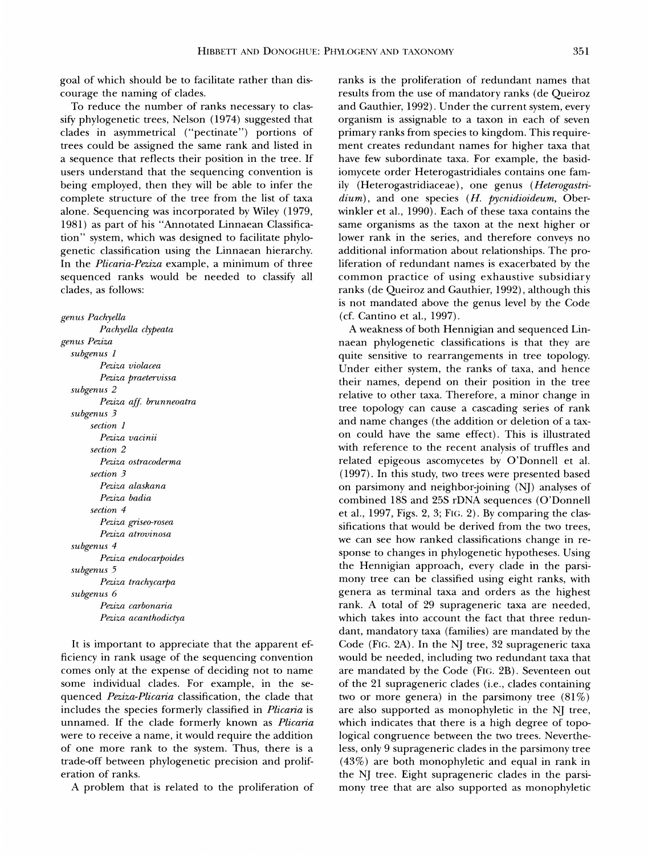**goal of which should be to facilitate rather than discourage the naming of clades.** 

**To reduce the number of ranks necessary to classify phylogenetic trees, Nelson (1974) suggested that clades in asymmetrical ("pectinate") portions of trees could be assigned the same rank and listed in a sequence that reflects their position in the tree. If users understand that the sequencing convention is being employed, then they will be able to infer the complete structure of the tree from the list of taxa alone. Sequencing was incorporated by Wiley (1979, 1981) as part of his "Annotated Linnaean Classification" system, which was designed to facilitate phylogenetic classification using the Linnaean hierarchy. In the Plicaria-Peziza example, a minimum of three sequenced ranks would be needed to classify all clades, as follows:** 

**genus Pachyella Pachyella clypeata genus Peziza subgenus 1 Peziza violacea Peziza praetervissa subgenus 2 Peziza aff. brunneoatra subgenus 3 section 1 Peziza vacinii section 2 Peziza ostracoderma section 3 Peziza alaskana Peziza badia section 4 Peziza griseo-rosea Peziza atrovinosa subgenus 4 Peziza endocarpoides subgenus 5 Peziza trachycarpa subgenus 6 Peziza carbonaria Peziza acanthodictya** 

**It is important to appreciate that the apparent efficiency in rank usage of the sequencing convention comes only at the expense of deciding not to name some individual clades. For example, in the sequenced Peziza-Plicaria classification, the clade that includes the species formerly classified in Plicaria is unnamed. If the clade formerly known as Plicaria were to receive a name, it would require the addition of one more rank to the system. Thus, there is a trade-off between phylogenetic precision and proliferation of ranks.** 

**A problem that is related to the proliferation of** 

**ranks is the proliferation of redundant names that results from the use of mandatory ranks (de Queiroz and Gauthier, 1992). Under the current system, every organism is assignable to a taxon in each of seven primary ranks from species to kingdom. This requirement creates redundant names for higher taxa that have few subordinate taxa. For example, the basidiomycete order Heterogastridiales contains one family (Heterogastridiaceae), one genus (Heterogastri**dium), and one species (H. pycnidioideum, Ober**winkler et al., 1990). Each of these taxa contains the same organisms as the taxon at the next higher or lower rank in the series, and therefore conveys no additional information about relationships. The proliferation of redundant names is exacerbated by the common practice of using exhaustive subsidiary ranks (de Queiroz and Gauthier, 1992), although this is not mandated above the genus level by the Code (cf. Cantino et al., 1997).** 

**A weakness of both Hennigian and sequenced Linnaean phylogenetic classifications is that they are quite sensitive to rearrangements in tree topology. Under either system, the ranks of taxa, and hence their names, depend on their position in the tree relative to other taxa. Therefore, a minor change in tree topology can cause a cascading series of rank and name changes (the addition or deletion of a taxon could have the same effect). This is illustrated with reference to the recent analysis of truffles and related epigeous ascomycetes by O'Donnell et al. (1997). In this study, two trees were presented based on parsimony and neighbor-joining (NJ) analyses of combined 18S and 25S rDNA sequences (O'Donnell et al., 1997, Figs. 2, 3; FIG. 2). By comparing the classifications that would be derived from the two trees, we can see how ranked classifications change in response to changes in phylogenetic hypotheses. Using the Hennigian approach, every clade in the parsimony tree can be classified using eight ranks, with genera as terminal taxa and orders as the highest rank. A total of 29 suprageneric taxa are needed, which takes into account the fact that three redundant, mandatory taxa (families) are mandated by the Code (FIG. 2A). In the NJ tree, 32 suprageneric taxa would be needed, including two redundant taxa that are mandated by the Code (FIG. 2B). Seventeen out of the 21 suprageneric clades (i.e., clades containing two or more genera) in the parsimony tree (81%) are also supported as monophyletic in the NJ tree, which indicates that there is a high degree of topological congruence between the two trees. Nevertheless, only 9 suprageneric clades in the parsimony tree (43%) are both monophyletic and equal in rank in the NJ tree. Eight suprageneric clades in the parsimony tree that are also supported as monophyletic**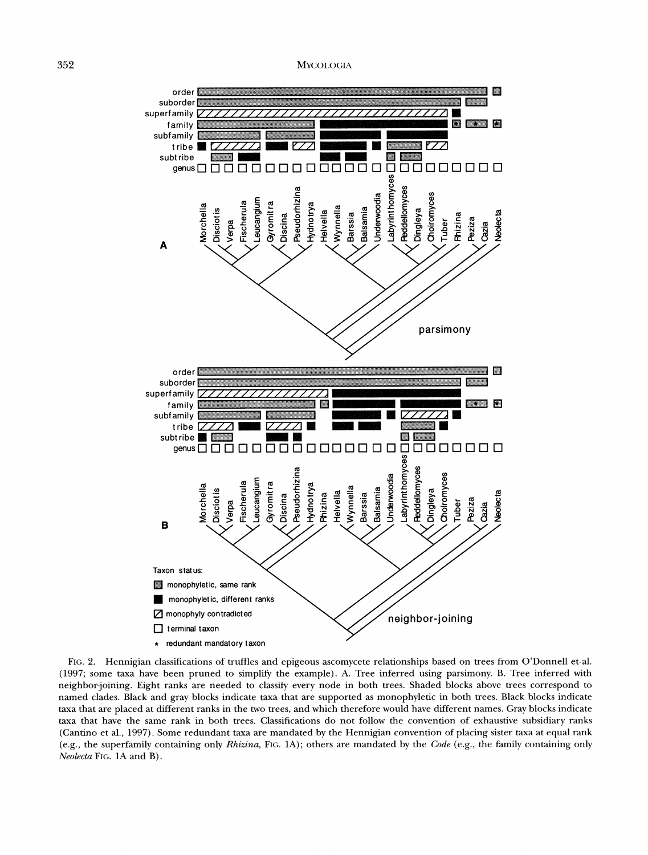

**FIG. 2. Hennigian classifications of truffles and epigeous ascomycete relationships based on trees from O'Donnell et al. (1997; some taxa have been pruned to simplify the example). A. Tree inferred using parsimony. B. Tree inferred with neighbor-joining. Eight ranks are needed to classify every node in both trees. Shaded blocks above trees correspond to named clades. Black and gray blocks indicate taxa that are supported as monophyletic in both trees. Black blocks indicate taxa that are placed at different ranks in the two trees, and which therefore would have different names. Gray blocks indicate taxa that have the same rank in both trees. Classifications do not follow the convention of exhaustive subsidiary ranks (Cantino et al., 1997). Some redundant taxa are mandated by the Hennigian convention of placing sister taxa at equal rank (e.g., the superfamily containing only Rhizina, FIG. 1A); others are mandated by the Code (e.g., the family containing only Neolecta FIG. 1A and B).**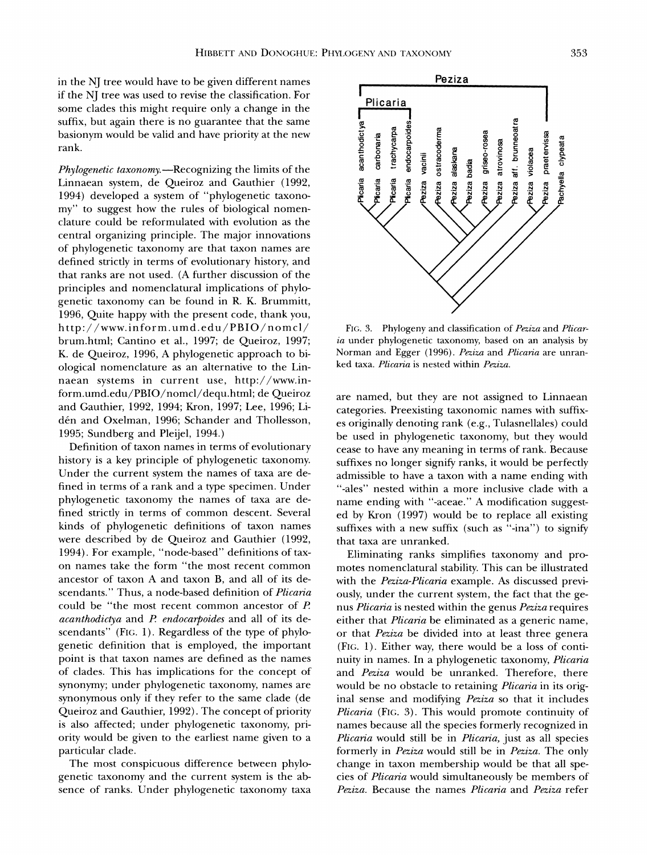**in the NJ tree would have to be given different names if the NJ tree was used to revise the classification. For some clades this might require only a change in the suffix, but again there is no guarantee that the same basionym would be valid and have priority at the new rank.** 

**Phylogenetic taxonomy. -Recognizing the limits of the Linnaean system, de Queiroz and Gauthier (1992, 1994) developed a system of "phylogenetic taxonomy" to suggest how the rules of biological nomenclature could be reformulated with evolution as the central organizing principle. The major innovations of phylogenetic taxonomy are that taxon names are defined strictly in terms of evolutionary history, and that ranks are not used. (A further discussion of the principles and nomenclatural implications of phylogenetic taxonomy can be found in R. K. Brummitt, 1996, Quite happy with the present code, thank you, http://www. inform.umd.edu/PBIO/nomcl/ brum.html; Cantino et al., 1997; de Queiroz, 1997; K. de Queiroz, 1996, A phylogenetic approach to biological nomenclature as an alternative to the Linnaean systems in current use, http://www.inform.umd.edu/PBIO/nomcl/dequ.html; de Queiroz and Gauthier, 1992, 1994; Kron, 1997; Lee, 1996; Liden and Oxelman, 1996; Schander and Thollesson, 1995; Sundberg and Pleijel, 1994.)** 

**Definition of taxon names in terms of evolutionary history is a key principle of phylogenetic taxonomy. Under the current system the names of taxa are defined in terms of a rank and a type specimen. Under phylogenetic taxonomy the names of taxa are defined strictly in terms of common descent. Several kinds of phylogenetic definitions of taxon names were described by de Queiroz and Gauthier (1992, 1994). For example, "node-based" definitions of taxon names take the form "the most recent common ancestor of taxon A and taxon B, and all of its descendants." Thus, a node-based definition of Plicaria**  could be "the most recent common ancestor of P. acanthodictya and P. endocarpoides and all of its de**scendants" (FIG. 1). Regardless of the type of phylogenetic definition that is employed, the important point is that taxon names are defined as the names of clades. This has implications for the concept of synonymy; under phylogenetic taxonomy, names are synonymous only if they refer to the same clade (de Queiroz and Gauthier, 1992). The concept of priority is also affected; under phylogenetic taxonomy, priority would be given to the earliest name given to a particular clade.** 

**The most conspicuous difference between phylogenetic taxonomy and the current system is the absence of ranks. Under phylogenetic taxonomy taxa** 

**FIG. 3. Phylogeny and classification of Peziza and Plicaria under phylogenetic taxonomy, based on an analysis by Norman and Egger (1996). Peziza and Plicaria are unranked taxa. Plicaria is nested within Peziza.** 

**are named, but they are not assigned to Linnaean categories. Preexisting taxonomic names with suffixes originally denoting rank (e.g., Tulasnellales) could be used in phylogenetic taxonomy, but they would cease to have any meaning in terms of rank. Because suffixes no longer signify ranks, it would be perfectly admissible to have a taxon with a name ending with "-ales" nested within a more inclusive clade with a name ending with "-aceae." A modification suggested by Kron (1997) would be to replace all existing suffixes with a new suffix (such as "-ina") to signify that taxa are unranked.** 

**Eliminating ranks simplifies taxonomy and promotes nomenclatural stability. This can be illustrated with the Peziza-Plicaria example. As discussed previously, under the current system, the fact that the genus Plicaria is nested within the genus Peziza requires either that Plicaria be eliminated as a generic name, or that Peziza be divided into at least three genera (FIG. 1). Either way, there would be a loss of continuity in names. In a phylogenetic taxonomy, Plicaria and Peziza would be unranked. Therefore, there would be no obstacle to retaining Plicaria in its original sense and modifying Peziza so that it includes Plicaria (FIG. 3). This would promote continuity of names because all the species formerly recognized in Plicaria would still be in Plicaria, just as all species formerly in Peziza would still be in Peziza. The only change in taxon membership would be that all species of Plicaria would simultaneously be members of Peziza. Because the names Plicaria and Peziza refer** 



**353**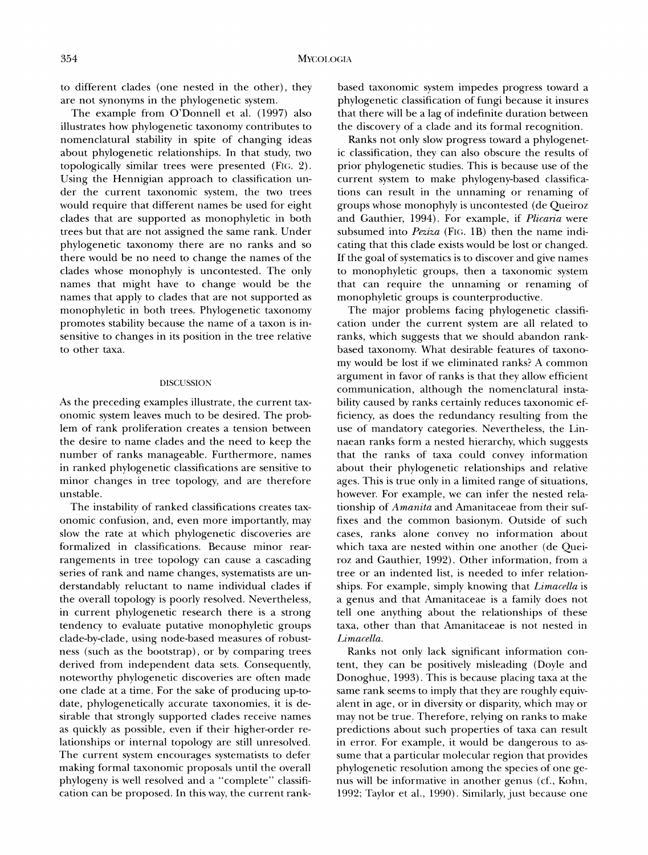**to different clades (one nested in the other), they are not synonyms in the phylogenetic system.** 

**The example from O'Donnell et al. (1997) also illustrates how phylogenetic taxonomy contributes to nomenclatural stability in spite of changing ideas about phylogenetic relationships. In that study, two topologically similar trees were presented (FIG. 2). Using the Hennigian approach to classification under the current taxonomic system, the two trees would require that different names be used for eight clades that are supported as monophyletic in both trees but that are not assigned the same rank. Under phylogenetic taxonomy there are no ranks and so there would be no need to change the names of the clades whose monophyly is uncontested. The only names that might have to change would be the names that apply to clades that are not supported as monophyletic in both trees. Phylogenetic taxonomy promotes stability because the name of a taxon is insensitive to changes in its position in the tree relative to other taxa.** 

## **DISCUSSION**

**As the preceding examples illustrate, the current taxonomic system leaves much to be desired. The problem of rank proliferation creates a tension between the desire to name clades and the need to keep the number of ranks manageable. Furthermore, names in ranked phylogenetic classifications are sensitive to minor changes in tree topology, and are therefore unstable.** 

**The instability of ranked classifications creates taxonomic confusion, and, even more importantly, may slow the rate at which phylogenetic discoveries are formalized in classifications. Because minor rearrangements in tree topology can cause a cascading series of rank and name changes, systematists are understandably reluctant to name individual clades if the overall topology is poorly resolved. Nevertheless, in current phylogenetic research there is a strong tendency to evaluate putative monophyletic groups clade-by-clade, using node-based measures of robustness (such as the bootstrap), or by comparing trees derived from independent data sets. Consequently, noteworthy phylogenetic discoveries are often made one clade at a time. For the sake of producing up-todate, phylogenetically accurate taxonomies, it is desirable that strongly supported clades receive names as quickly as possible, even if their higher-order relationships or internal topology are still unresolved. The current system encourages systematists to defer making formal taxonomic proposals until the overall phylogeny is well resolved and a "complete" classification can be proposed. In this way, the current rank-** **based taxonomic system impedes progress toward a phylogenetic classification of fungi because it insures that there will be a lag of indefinite duration between the discovery of a clade and its formal recognition.** 

**Ranks not only slow progress toward a phylogenetic classification, they can also obscure the results of prior phylogenetic studies. This is because use of the current system to make phylogeny-based classifications can result in the unnaming or renaming of groups whose monophyly is uncontested (de Queiroz and Gauthier, 1994). For example, if Plicaria were subsumed into Peziza (FIG. IB) then the name indicating that this clade exists would be lost or changed. If the goal of systematics is to discover and give names to monophyletic groups, then a taxonomic system that can require the unnaming or renaming of monophyletic groups is counterproductive.** 

**The major problems facing phylogenetic classification under the current system are all related to ranks, which suggests that we should abandon rankbased taxonomy. What desirable features of taxonomy would be lost if we eliminated ranks? A common argument in favor of ranks is that they allow efficient communication, although the nomenclatural instability caused by ranks certainly reduces taxonomic efficiency, as does the redundancy resulting from the use of mandatory categories. Nevertheless, the Linnaean ranks form a nested hierarchy, which suggests that the ranks of taxa could convey information about their phylogenetic relationships and relative ages. This is true only in a limited range of situations, however. For example, we can infer the nested relationship of Amanita and Amanitaceae from their suffixes and the common basionym. Outside of such cases, ranks alone convey no information about which taxa are nested within one another (de Queiroz and Gauthier, 1992). Other information, from a tree or an indented list, is needed to infer relationships. For example, simply knowing that Limacella is a genus and that Amanitaceae is a family does not tell one anything about the relationships of these taxa, other than that Amanitaceae is not nested in Limacella.** 

**Ranks not only lack significant information content, they can be positively misleading (Doyle and Donoghue, 1993). This is because placing taxa at the same rank seems to imply that they are roughly equivalent in age, or in diversity or disparity, which may or may not be true. Therefore, relying on ranks to make predictions about such properties of taxa can result in error. For example, it would be dangerous to assume that a particular molecular region that provides phylogenetic resolution among the species of one genus will be informative in another genus (cf., Kohn, 1992; Taylor et al., 1990). Similarly, just because one**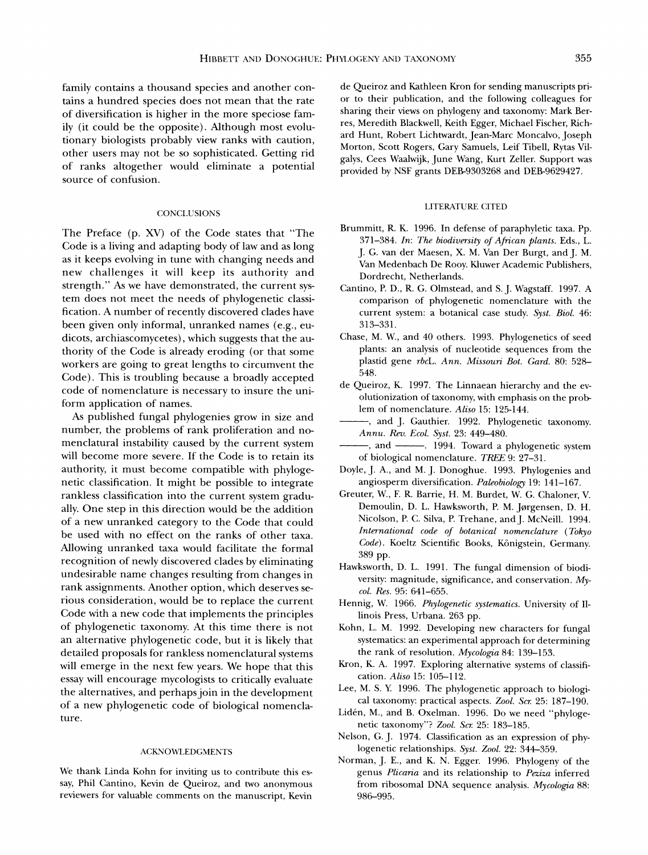**family contains a thousand species and another contains a hundred species does not mean that the rate of diversification is higher in the more speciose family (it could be the opposite). Although most evolutionary biologists probably view ranks with caution, other users may not be so sophisticated. Getting rid of ranks altogether would eliminate a potential source of confusion.** 

## **CONCLUSIONS**

**The Preface (p. XV) of the Code states that "The Code is a living and adapting body of law and as long as it keeps evolving in tune with changing needs and new challenges it will keep its authority and strength." As we have demonstrated, the current system does not meet the needs of phylogenetic classification. A number of recently discovered clades have been given only informal, unranked names (e.g., eudicots, archiascomycetes), which suggests that the authority of the Code is already eroding (or that some workers are going to great lengths to circumvent the Code). This is troubling because a broadly accepted code of nomenclature is necessary to insure the uniform application of names.** 

**As published fungal phylogenies grow in size and number, the problems of rank proliferation and nomenclatural instability caused by the current system will become more severe. If the Code is to retain its authority, it must become compatible with phylogenetic classification. It might be possible to integrate rankless classification into the current system gradually. One step in this direction would be the addition of a new unranked category to the Code that could be used with no effect on the ranks of other taxa. Allowing unranked taxa would facilitate the formal recognition of newly discovered clades by eliminating undesirable name changes resulting from changes in rank assignments. Another option, which deserves serious consideration, would be to replace the current Code with a new code that implements the principles of phylogenetic taxonomy. At this time there is not an alternative phylogenetic code, but it is likely that detailed proposals for rankless nomenclatural systems will emerge in the next few years. We hope that this essay will encourage mycologists to critically evaluate the alternatives, and perhaps join in the development of a new phylogenetic code of biological nomenclature.** 

#### **ACKNOWLEDGMENTS**

**We thank Linda Kohn for inviting us to contribute this essay, Phil Cantino, Kevin de Queiroz, and two anonymous reviewers for valuable comments on the manuscript, Kevin** 

**de Queiroz and Kathleen Kron for sending manuscripts prior to their publication, and the following colleagues for sharing their views on phylogeny and taxonomy: Mark Berres, Meredith Blackwell, Keith Egger, Michael Fischer, Richard Hunt, Robert Lichtwardt, Jean-Marc Moncalvo, Joseph Morton, Scott Rogers, Gary Samuels, Leif Tibell, Rytas Vilgalys, Cees Waalwijk, June Wang, Kurt Zeller. Support was provided by NSF grants DEB-9303268 and DEB-9629427.** 

#### **LITERATURE CITED**

- **Brummitt, R. K. 1996. In defense of paraphyletic taxa. Pp. 371-384. In: The biodiversity of African plants. Eds., L. J. G. van der Maesen, X. M. Van Der Burgt, and J. M. Van Medenbach De Rooy. Kluwer Academic Publishers, Dordrecht, Netherlands.**
- **Cantino, P. D., R. G. Olmstead, and S. J. Wagstaff. 1997. A comparison of phylogenetic nomenclature with the current system: a botanical case study. Syst. Biol. 46: 313-331.**
- **Chase, M. W., and 40 others. 1993. Phylogenetics of seed plants: an analysis of nucleotide sequences from the plastid gene rbcL. Ann. Missouri Bot. Gard. 80: 528- 548.**
- **de Queiroz, K. 1997. The Linnaean hierarchy and the evolutionization of taxonomy, with emphasis on the problem of nomenclature. Aliso 15: 125-144.**
- **, and J. Gauthier. 1992. Phylogenetic taxonomy. Annu. Rev. Ecol. Syst. 23: 449-480.**
- **, and . 1994. Toward a phylogenetic system of biological nomenclature. TREE 9: 27-31.**
- **Doyle, J. A., and M. J. Donoghue. 1993. Phylogenies and angiosperm diversification. Paleobiology 19: 141-167.**
- **Greuter, W., F. R. Barrie, H. M. Burdet, W. G. Chaloner, V.**  Demoulin, D. L. Hawksworth, P. M. Jørgensen, D. H. Nicolson, P. C. Silva, P. Trehane, and J. McNeill. 1994. **International code of botanical nomenclature (Tokyo Code). Koeltz Scientific Books, Konigstein, Germany. 389 pp.**
- **Hawksworth, D. L. 1991. The fungal dimension of biodiversity: magnitude, significance, and conservation. Mycol. Res. 95: 641-655.**
- Hennig, W. 1966. Phylogenetic systematics. University of Il**linois Press, Urbana. 263 pp.**
- **Kohn, L. M. 1992. Developing new characters for fungal systematics: an experimental approach for determining the rank of resolution. Mycologia 84: 139-153.**
- **Kron, K. A. 1997. Exploring alternative systems of classification. Aliso 15: 105-112.**
- **Lee, M. S. Y. 1996. The phylogenetic approach to biological taxonomy: practical aspects. Zool. Scr. 25: 187-190.**
- Lidén, M., and B. Oxelman. 1996. Do we need "phyloge**netic taxonomy"? Zool. Scr. 25: 183-185.**
- **Nelson, G. J. 1974. Classification as an expression of phylogenetic relationships. Syst. Zool. 22: 344-359.**
- **Norman, J. E., and K. N. Egger. 1996. Phylogeny of the genus Plicaria and its relationship to Peziza inferred from ribosomal DNA sequence analysis. Mycologia 88: 986-995.**